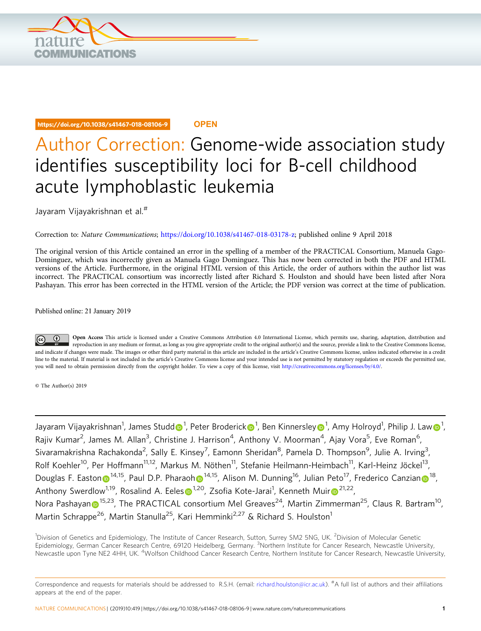

## https://doi.org/10.1038/s41467-018-08106-9 **OPEN**

## Author Correction: Genome-wide association study identifies susceptibility loci for B-cell childhood acute lymphoblastic leukemia

Jayaram Vijayakrishnan et al.#

Correction to: Nature Communications; [https://doi.org/10.1038/s41467-018-03178-z;](https://doi.org/10.1038/s41467-018-03178-z) published online 9 April 2018

The original version of this Article contained an error in the spelling of a member of the PRACTICAL Consortium, Manuela Gago-Dominguez, which was incorrectly given as Manuela Gago Dominguez. This has now been corrected in both the PDF and HTML versions of the Article. Furthermore, in the original HTML version of this Article, the order of authors within the author list was incorrect. The PRACTICAL consortium was incorrectly listed after Richard S. Houlston and should have been listed after Nora Pashayan. This error has been corrected in the HTML version of the Article; the PDF version was correct at the time of publication.

Published online: 21 January 2019

Open Access This article is licensed under a Creative Commons Attribution 4.0 International License, which permits use, sharing, adaptation, distribution and reproduction in any medium or format, as long as you give appropriate credit to the original author(s) and the source, provide a link to the Creative Commons license, and indicate if changes were made. The images or other third party material in this article are included in the article's Creative Commons license, unless indicated otherwise in a credit line to the material. If material is not included in the article's Creative Commons license and your intended use is not permitted by statutory regulation or exceeds the permitted use, you will need to obtain permission directly from the copyright holder. To view a copy of this license, visit [http://creativecommons.org/licenses/by/4.0/.](http://creativecommons.org/licenses/by/4.0/)

© The Author(s) 2019

Jayaram Vijayakrishnan<sup>1</sup>, James Stu[d](http://orcid.org/0000-0002-7157-754X)d $\bm\odot^1$  $\bm\odot^1$ , Peter Broderic[k](http://orcid.org/0000-0002-8348-5829) $\bm\odot^1$ , Ben Kinnersle[y](http://orcid.org/0000-0003-1783-6296) $\bm\odot^1$ , Amy Holroyd<sup>1</sup>, Philip J. La[w](http://orcid.org/0000-0001-9663-4611) $\bm\odot^1$ , Rajiv Kumar<sup>2</sup>, James M. Allan<sup>3</sup>, Christine J. Harrison<sup>4</sup>, Anthony V. Moorman<sup>4</sup>, Ajay Vora<sup>5</sup>, Eve Roman<sup>6</sup>, Sivaramakrishna Rachakonda<sup>2</sup>, Sally E. Kinsey<sup>7</sup>, Eamonn Sheridan<sup>8</sup>, Pamela D. Thompson<sup>9</sup>, Julie A. Irving<sup>3</sup>, Rolf Koehler<sup>10</sup>, Per Hoffmann<sup>11,12</sup>, Markus M. Nöthen<sup>11</sup>, Stefanie Heilmann-Heimbach<sup>11</sup>, Karl-Heinz Jöckel<sup>13</sup>, Douglas F. Easto[n](http://orcid.org/0000-0002-4261-4583)  $\odot$  [1](http://orcid.org/0000-0001-8494-732X)4,15, Paul D.P. P[h](http://orcid.org/0000-0001-8494-732X)araoh  $\odot$  14,15, Alison M. Dunning<sup>16</sup>, Julian Peto<sup>17</sup>, Frederico Canzian  $\odot$  18, Anthony Swerdlow<[s](http://orcid.org/0000-0002-3698-6241)up>[1](http://orcid.org/0000-0002-3698-6241),19</sup>, Rosalind A. Eeles $\bullet^{1,20}$  $\bullet^{1,20}$  $\bullet^{1,20}$ , Zsofia Kote-Ja[r](http://orcid.org/0000-0001-6429-988X)ai<sup>1</sup>, Kenneth Muir $\bullet^{21,22}$ , Nora Pashaya[n](http://orcid.org/0000-0003-0843-2468)  $\odot$ <sup>[1](http://orcid.org/0000-0003-0843-2468)5,23</sup>, The PRACTICAL consortium Mel Greaves<sup>24</sup>, Martin Zimmerman<sup>25</sup>, Claus R. Bartram<sup>10</sup>, Martin Schrappe<sup>26</sup>, Martin Stanulla<sup>25</sup>, Kari Hemminki<sup>2,27</sup> & Richard S. Houlston<sup>1</sup>

<sup>1</sup>Division of Genetics and Epidemiology, The Institute of Cancer Research, Sutton, Surrey SM2 5NG, UK. <sup>2</sup>Division of Molecular Genetic Epidemiology, German Cancer Research Centre, 69120 Heidelberg, Germany. <sup>3</sup>Northern Institute for Cancer Research, Newcastle University, Newcastle upon Tyne NE2 4HH, UK. <sup>4</sup>Wolfson Childhood Cancer Research Centre, Northern Institute for Cancer Research, Newcastle University,

Correspondence and requests for materials should be addressed to R.S.H. (email: [richard.houlston@icr.ac.uk\)](mailto:richard.houlston@icr.ac.uk). <sup>#</sup>A full list of authors and their affiliations appears at the end of the paper.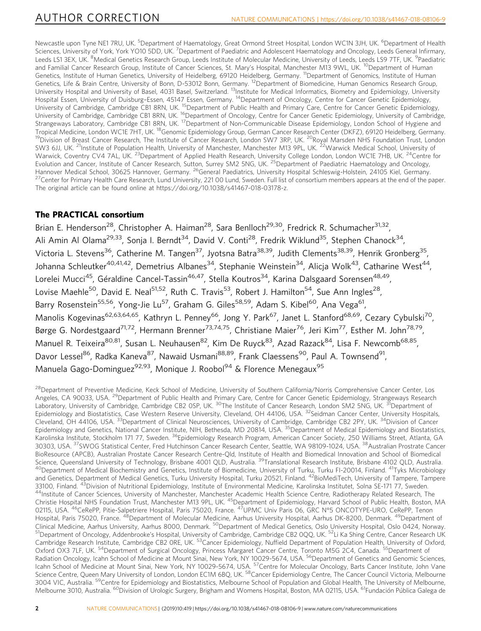Newcastle upon Tyne NE1 7RU, UK. <sup>5</sup>Department of Haematology, Great Ormond Street Hospital, London WC1N 3JH, UK. <sup>6</sup>Department of Health Sciences, University of York, York YO10 5DD, UK. <sup>7</sup>Department of Paediatric and Adolescent Haematology and Oncology, Leeds General Infirmary, Leeds LS1 3EX, UK. <sup>8</sup>Medical Genetics Research Group, Leeds Institute of Molecular Medicine, University of Leeds, Leeds LS9 7TF, UK. <sup>9</sup>Paediatric and Familial Cancer Research Group, Institute of Cancer Sciences, St. Mary's Hospital, Manchester M13 9WL, UK. <sup>10</sup>Department of Human Genetics, Institute of Human Genetics, University of Heidelberg, 69120 Heidelberg, Germany. <sup>11</sup>Department of Genomics, Institute of Human Genetics, Life & Brain Centre, University of Bonn, D-53012 Bonn, Germany. 12Department of Biomedicine, Human Genomics Research Group, University Hospital and University of Basel, 4031 Basel, Switzerland. <sup>13</sup>Institute for Medical Informatics, Biometry and Epidemiology, University Hospital Essen, University of Duisburg-Essen, 45147 Essen, Germany. <sup>14</sup>Department of Oncology, Centre for Cancer Genetic Epidemiology, University of Cambridge, Cambridge CB1 8RN, UK. <sup>15</sup>Department of Public Health and Primary Care, Centre for Cancer Genetic Epidemiology, University of Cambridge, Cambridge CB1 8RN, UK. 16Department of Oncology, Centre for Cancer Genetic Epidemiology, University of Cambridge, Strangeways Laboratory, Cambridge CB1 8RN, UK. <sup>17</sup>Department of Non-Communicable Disease Epidemiology, London School of Hygiene and<br>Tropical Medicine, London WC1E 7HT, UK. <sup>18</sup>Genomic Epidemiology Group, German Cancer Res <sup>19</sup> Division of Breast Cancer Research, The Institute of Cancer Research, London SW7 3RP, UK. <sup>20</sup>Royal Marsden NHS Foundation Trust, London SW3 6JJ, UK. <sup>21</sup>Institute of Population Health, University of Manchester, Manchester M13 9PL, UK. <sup>22</sup>Warwick Medical School, University of Warwick, Coventry CV4 7AL, UK.<sup>23</sup>Department of Applied Health Research, University College London, London WC1E 7HB, UK.<sup>24</sup>Centre for Evolution and Cancer, Institute of Cancer Research, Sutton, Surrey SM2 5NG, UK. <sup>25</sup>Department of Paediatric Haematology and Oncology,<br>Hannover Medical School, 30625 Hannover, Germany. <sup>26</sup>General Paediatrics, University H <sup>27</sup> Center for Primary Health Care Research, Lund University, 221 00 Lund, Sweden. Full list of consortium members appears at the end of the paper. The original article can be found online at https://doi.org/10.1038/s41467-018-03178-z.

## The PRACTICAL consortium

Brian E. Henderson<sup>28</sup>, Christopher A. Haiman<sup>28</sup>, Sara Benlloch<sup>29,30</sup>, Fredrick R. Schumacher<sup>31,32</sup>, Ali Amin Al Olama<sup>29,33</sup>, Sonja I. Berndt<sup>34</sup>, David V. Conti<sup>28</sup>, Fredrik Wiklund<sup>35</sup>, Stephen Chanock<sup>34</sup>, Victoria L. Stevens<sup>36</sup>, Catherine M. Tangen<sup>37</sup>, Jyotsna Batra<sup>38,39</sup>, Judith Clements<sup>38,39</sup>, Henrik Gronberg<sup>35</sup>, Johanna Schleutker<sup>40,41,42</sup>, Demetrius Albanes<sup>34</sup>, Stephanie Weinstein<sup>34</sup>, Alicja Wolk<sup>43</sup>, Catharine West<sup>44</sup>, Lorelei Mucci<sup>45</sup>, Géraldine Cancel-Tassin<sup>46,47</sup>, Stella Koutros<sup>34</sup>, Karina Dalsgaard Sorensen<sup>48,49</sup>, Lovise Maehle<sup>50</sup>, David E. Neal<sup>51,52</sup>, Ruth C. Travis<sup>53</sup>, Robert J. Hamilton<sup>54</sup>, Sue Ann Ingles<sup>28</sup>, Barry Rosenstein<sup>55,56</sup>, Yong-Jie Lu<sup>57</sup>, Graham G. Giles<sup>58,59</sup>, Adam S. Kibel<sup>60</sup>, Ana Vega<sup>61</sup>, Manolis Kogevinas<sup>62,63,64,65</sup>, Kathryn L. Penney<sup>66</sup>, Jong Y. Park<sup>67</sup>, Janet L. Stanford<sup>68,69</sup>, Cezary Cybulski<sup>70</sup>, Børge G. Nordestgaard<sup>71,72</sup>, Hermann Brenner<sup>73,74,75</sup>, Christiane Maier<sup>76</sup>, Jeri Kim<sup>77</sup>, Esther M. John<sup>78,79</sup>, Manuel R. Teixeira<sup>80,81</sup>, Susan L. Neuhausen<sup>82</sup>, Kim De Ruyck<sup>83</sup>, Azad Razack<sup>84</sup>, Lisa F. Newcomb<sup>68,85</sup>, Davor Lessel<sup>86</sup>, Radka Kaneva<sup>87</sup>, Nawaid Usmani<sup>88,89</sup>, Frank Claessens<sup>90</sup>, Paul A. Townsend<sup>91</sup>, Manuela Gago-Dominguez<sup>92,93</sup>, Monique J. Roobol<sup>94</sup> & Florence Menegaux<sup>95</sup>

<sup>28</sup>Department of Preventive Medicine, Keck School of Medicine, University of Southern California/Norris Comprehensive Cancer Center, Los Angeles, CA 90033, USA, <sup>29</sup>Department of Public Health and Primary Care, Centre for Cancer Genetic Epidemiology, Strangeways Research Laboratory, University of Cambridge, Cambridge CB2 0SP, UK. <sup>30</sup>The Institute of Cancer Research, London SM2 5NG, UK. <sup>31</sup>Department of Epidemiology and Biostatistics, Case Western Reserve University, Cleveland, OH 44106, USA. <sup>32</sup>Seidman Cancer Center, University Hospitals, Cleveland, OH 44106, USA. 33Department of Clinical Neurosciences, University of Cambridge, Cambridge CB2 2PY, UK. 34Division of Cancer Epidemiology and Genetics, National Cancer Institute, NIH, Bethesda, MD 20814, USA. <sup>35</sup>Department of Medical Epidemiology and Biostatistics, Karolinska Institute, Stockholm 171 77, Sweden. <sup>36</sup>Epidemiology Research Program, American Cancer Society, 250 Williams Street, Atlanta, GA 30303, USA. 37SWOG Statistical Center, Fred Hutchinson Cancer Research Center, Seattle, WA 98109-1024, USA. 38Australian Prostrate Cancer BioResource (APCB), Australian Prostate Cancer Research Centre-Qld, Institute of Health and Biomedical Innovation and School of Biomedical Science, Queensland University of Technology, Brisbane 4001 QLD, Australia.<sup>39</sup>Translational Research Institute, Brisbane 4102 QLD, Australia.<br><sup>40</sup>Department of Medical Biochemistry and Genetics, Institute of Biomedicine, and Genetics, Department of Medical Genetics, Turku University Hospital, Turku 20521, Finland. <sup>42</sup>BioMediTech, University of Tampere, Tampere<br>33100, Finland. <sup>43</sup>Division of Nutritional Epidemiology, Institute of Environm 44Institute of Cancer Sciences, University of Manchester, Manchester Academic Health Science Centre, Radiotherapy Related Research, The Christie Hospital NHS Foundation Trust, Manchester M13 9PL, UK. 45Department of Epidemiology, Harvard School of Public Health, Boston, MA 02115, USA. <sup>46</sup>CeRePP, Pitie-Salpetriere Hospital, Paris 75020, France. <sup>47</sup>UPMC Univ Paris 06, GRC N°5 ONCOTYPE-URO, CeRePP, Tenon Hospital, Paris 75020, France. <sup>48</sup>Department of Molecular Medicine, Aarhus University Hospital, Aarhus DK-8200, Denmark. <sup>49</sup>Department of<br>Clinical Medicine, Aarhus University, Aarhus 8000, Denmark. <sup>50</sup>Department of Medi <sup>51</sup>Department of Oncology, Addenbrooke's Hospital, University of Cambridge, Cambridge CB2 0QQ, UK. <sup>52</sup>Li Ka Shing Centre, Cancer Research UK Cambridge Research Institute, Cambridge CB2 0RE, UK. 53Cancer Epidemiology, Nuffield Department of Population Health, University of Oxford, Oxford OX3 7LF, UK. <sup>54</sup>Department of Surgical Oncology, Princess Margaret Cancer Centre, Toronto M5G 2C4, Canada. <sup>55</sup>Department of Radiation Oncology, Icahn School of Medicine at Mount Sinai, New York, NY 10029-5674, USA. <sup>56</sup>Department of Genetics and Genomic Sciences, Icahn School of Medicine at Mount Sinai, New York, NY 10029-5674, USA. <sup>57</sup>Centre for Molecular Oncology, Barts Cancer Institute, John Vane Science Centre, Queen Mary University of London, London EC1M 6BQ, UK. <sup>58</sup>Cancer Epidemiology Centre, The Cancer Council Victoria, Melbourne 3004 VIC, Australia. <sup>59</sup>Centre for Epidemiology and Biostatistics, Melbourne School of Population and Global Health, The University of Melbourne, Melbourne 3010, Australia. <sup>60</sup>Division of Urologic Surgery, Brigham and Womens Hospital, Boston, MA 02115, USA. <sup>61</sup>Fundación Pública Galega de